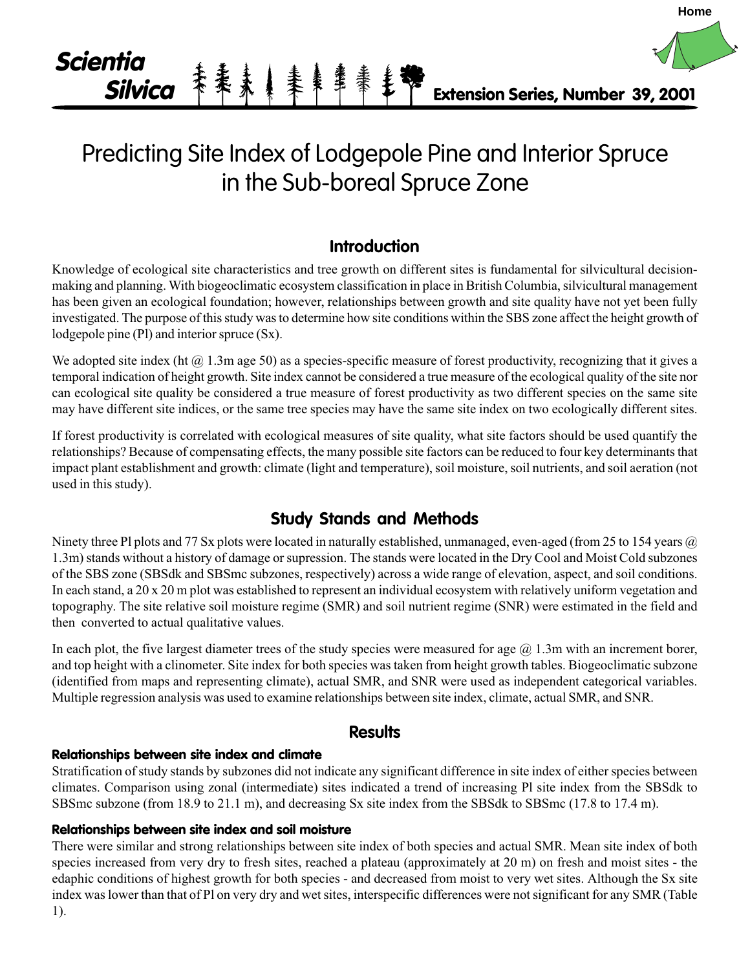

# Predicting Site Index of Lodgepole Pine and Interior Spruce in the Sub-boreal Spruce Zone

# **Introduction**

Knowledge of ecological site characteristics and tree growth on different sites is fundamental for silvicultural decisionmaking and planning. With biogeoclimatic ecosystem classification in place in British Columbia, silvicultural management has been given an ecological foundation; however, relationships between growth and site quality have not yet been fully investigated. The purpose of this study was to determine how site conditions within the SBS zone affect the height growth of lodgepole pine (Pl) and interior spruce (Sx).

We adopted site index (ht  $(a)$  1.3m age 50) as a species-specific measure of forest productivity, recognizing that it gives a temporal indication of height growth. Site index cannot be considered a true measure of the ecological quality of the site nor can ecological site quality be considered a true measure of forest productivity as two different species on the same site may have different site indices, or the same tree species may have the same site index on two ecologically different sites.

If forest productivity is correlated with ecological measures of site quality, what site factors should be used quantify the relationships? Because of compensating effects, the many possible site factors can be reduced to four key determinants that impact plant establishment and growth: climate (light and temperature), soil moisture, soil nutrients, and soil aeration (not used in this study).

# **Study Stands and Methods**

Ninety three Pl plots and 77 Sx plots were located in naturally established, unmanaged, even-aged (from 25 to 154 years  $\omega$ ) 1.3m) stands without a history of damage or supression. The stands were located in the Dry Cool and Moist Cold subzones of the SBS zone (SBSdk and SBSmc subzones, respectively) across a wide range of elevation, aspect, and soil conditions. In each stand, a 20 x 20 m plot was established to represent an individual ecosystem with relatively uniform vegetation and topography. The site relative soil moisture regime (SMR) and soil nutrient regime (SNR) were estimated in the field and then converted to actual qualitative values.

In each plot, the five largest diameter trees of the study species were measured for age  $(a)$  1.3m with an increment borer, and top height with a clinometer. Site index for both species was taken from height growth tables. Biogeoclimatic subzone (identified from maps and representing climate), actual SMR, and SNR were used as independent categorical variables. Multiple regression analysis was used to examine relationships between site index, climate, actual SMR, and SNR.

## **Results**

### **Relationships between site index and climate**

Stratification of study stands by subzones did not indicate any significant difference in site index of either species between climates. Comparison using zonal (intermediate) sites indicated a trend of increasing Pl site index from the SBSdk to SBSmc subzone (from 18.9 to 21.1 m), and decreasing Sx site index from the SBSdk to SBSmc (17.8 to 17.4 m).

#### **Relationships between site index and soil moisture**

There were similar and strong relationships between site index of both species and actual SMR. Mean site index of both species increased from very dry to fresh sites, reached a plateau (approximately at 20 m) on fresh and moist sites - the edaphic conditions of highest growth for both species - and decreased from moist to very wet sites. Although the Sx site index was lower than that of Pl on very dry and wet sites, interspecific differences were not significant for any SMR (Table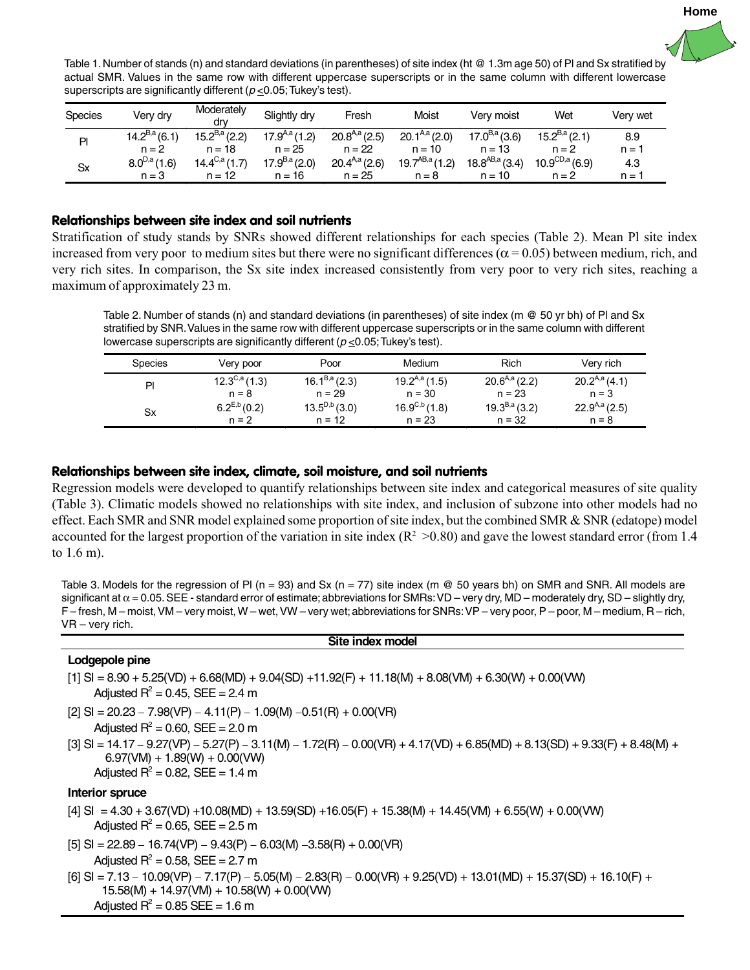

Table 1. Number of stands (n) and standard deviations (in parentheses) of site index (ht @ 1.3m age 50) of Pl and Sx stratified by actual SMR. Values in the same row with different uppercase superscripts or in the same column with different lowercase superscripts are significantly different ( $p \le 0.05$ ; Tukey's test).

| <b>Species</b> | Verv drv          | Moderately<br>drv        | Slightly dry      | Fresh             | Moist              | Verv moist          | Wet                       | Verv wet |
|----------------|-------------------|--------------------------|-------------------|-------------------|--------------------|---------------------|---------------------------|----------|
| PI             | $14.2^{B,a}(6.1)$ | $15.2^{B,a}(2.2)$        | $17.9^{A,a}(1.2)$ | $20.8^{A,a}(2.5)$ | $20.1^{A,a}(2.0)$  | $17.0^{B,a}(3.6)$   | $15.2^{B,a}(2.1)$         | 8.9      |
|                | $n = 2$           | $n = 18$                 | n = 25            | $n = 22$          | $n = 10$           | $n = 13$            | $n = 2$                   | $n =$    |
| <b>Sx</b>      | $8.0^{D,a}(1.6)$  | $14.4^{\text{C,a}}(1.7)$ | $17.9^{B,a}(2.0)$ | $20.4^{A,a}(2.6)$ | $19.7^{AB,a}(1.2)$ | $18.8^{AB,a}$ (3.4) | $10.9^{\text{CD},a}(6.9)$ | 4.3      |
|                | $n = 3$           | $n = 12$                 | $n = 16$          | $n = 25$          | $n = 8$            | $n = 10$            | $n = 2$                   | $n =$    |

#### **Relationships between site index and soil nutrients**

Stratification of study stands by SNRs showed different relationships for each species (Table 2). Mean Pl site index increased from very poor to medium sites but there were no significant differences ( $\alpha$  = 0.05) between medium, rich, and very rich sites. In comparison, the Sx site index increased consistently from very poor to very rich sites, reaching a maximum of approximately 23 m.

Table 2. Number of stands (n) and standard deviations (in parentheses) of site index (m @ 50 yr bh) of Pl and Sx stratified by SNR. Values in the same row with different uppercase superscripts or in the same column with different lowercase superscripts are significantly different ( $p \le 0.05$ ; Tukey's test).

| <b>Species</b> | Very poor         | Poor              | Medium                          | Rich              | Very rich         |
|----------------|-------------------|-------------------|---------------------------------|-------------------|-------------------|
| PI             | $12.3^{C,a}(1.3)$ | $16.1^{B,a}(2.3)$ | $19.2^{A,a}(1.5)$               | $20.6A,a$ (2.2)   | $20.2^{A,a}(4.1)$ |
|                | $n = 8$           | $n = 29$          | $n = 30$                        | $n = 23$          | $n = 3$           |
| Sx             | $6.2^{E,b}(0.2)$  | $13.5^{D,b}(3.0)$ | $16.9^{\text{C},\text{b}}(1.8)$ | $19.3^{B,a}(3.2)$ | $22.9^{A,a}(2.5)$ |
|                | $n = 2$           | $n = 12$          | $n = 23$                        | $n = 32$          | $n = 8$           |

#### **Relationships between site index, climate, soil moisture, and soil nutrients**

Regression models were developed to quantify relationships between site index and categorical measures of site quality (Table 3). Climatic models showed no relationships with site index, and inclusion of subzone into other models had no effect. Each SMR and SNR model explained some proportion of site index, but the combined SMR & SNR (edatope) model accounted for the largest proportion of the variation in site index ( $R^2 > 0.80$ ) and gave the lowest standard error (from 1.4 to 1.6 m).

Table 3. Models for the regression of PI ( $n = 93$ ) and Sx ( $n = 77$ ) site index ( $m \& 50$  years bh) on SMR and SNR. All models are significant at  $\alpha$  = 0.05. SEE - standard error of estimate; abbreviations for SMRs: VD – very dry, MD – moderately dry, SD – slightly dry, F – fresh, M – moist, VM – very moist, W – wet, VW – very wet; abbreviations for SNRs: VP – very poor, P – poor, M – medium, R – rich, VR – very rich.

#### **Site index model**

#### **Lodgepole pine**

- $[1]$  SI = 8.90 + 5.25(VD) + 6.68(MD) + 9.04(SD) +11.92(F) + 11.18(M) + 8.08(VM) + 6.30(W) + 0.00(VW) Adjusted  $R^2$  = 0.45, SEE = 2.4 m
- $[2]$  SI = 20.23 7.98(VP) 4.11(P) 1.09(M) –0.51(R) + 0.00(VR) Adjusted  $R^2$  = 0.60, SEE = 2.0 m
- [3] SI = 14.17 − 9.27(VP) − 5.27(P) − 3.11(M) − 1.72(R) − 0.00(VR) + 4.17(VD) + 6.85(MD) + 8.13(SD) + 9.33(F) + 8.48(M) +  $6.97$ (VM) + 1.89(W) + 0.00(VW) Adjusted  $R^2$  = 0.82, SEE = 1.4 m

#### **Interior spruce**

- $[4]$  SI = 4.30 + 3.67(VD) +10.08(MD) + 13.59(SD) +16.05(F) + 15.38(M) + 14.45(VM) + 6.55(W) + 0.00(VW) Adjusted  $R^2$  = 0.65, SEE = 2.5 m
- $[5]$  SI = 22.89 16.74(VP) 9.43(P) 6.03(M) –3.58(R) + 0.00(VR) Adjusted  $R^2$  = 0.58, SEE = 2.7 m
- [6] SI = 7.13 − 10.09(VP) − 7.17(P) − 5.05(M) − 2.83(R) − 0.00(VR) + 9.25(VD) + 13.01(MD) + 15.37(SD) + 16.10(F) +  $15.58(M) + 14.97(VM) + 10.58(W) + 0.00(VW)$ Adjusted  $R^2$  = 0.85 SEE = 1.6 m